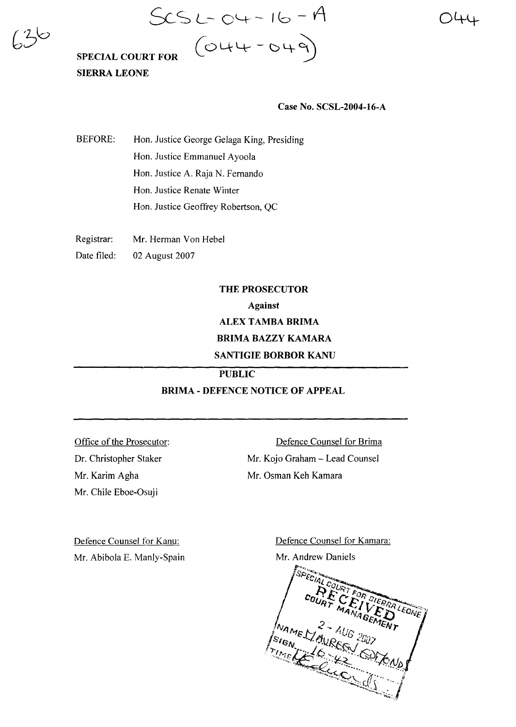)44

# $SCS L - O4 - 16 - A$ SPECIAL COURT FOR  $\left(\bigcirc \downarrow \downarrow - \circ \downarrow \circ \right)$

## SIERRA LEONE

#### Case No. SCSL-2004-16-A

BEFORE: Hon. Justice George Gelaga King, Presiding Hon. Justice Emmanuel Ayoola Hon. Justice A. Raja N. Fernando Hon. Justice Renate Winter Hon. Justice Geoffrey Robertson, QC

Registrar: Mr. Herman Von Hebel

Date filed: 02 August 2007

### THE PROSECUTOR Against ALEX TAMBA BRIMA BRIMA BAZZY KAMARA SANTIGIE BORBOR KANU

PUBLIC

#### BRIMA - DEFENCE NOTICE OF APPEAL

Office of the Prosecutor: Dr. Christopher Staker Mr. Karim Agha Mr. Chile Eboe-Osuji

Defence Counsel for Brima Mr. Kojo Graham - Lead Counsel Mr. Osman Keh Kamara

Defence Counsel for Kanu: Mr. Abibola E. Manly-Spain Defence Counsel for Kamara:

Mr. Andrew Daniels

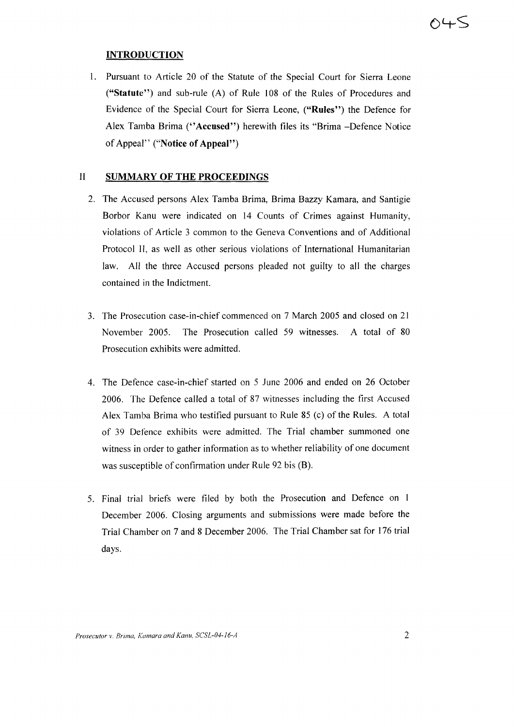#### **INTRODUCTION**

I. Pursuant to Article 20 of the Statute of the Special Court for Sierra Leone ("Statute") and sub-rule (A) of Rule 108 of the Rules of Procedures and Evidence of the Special Court for Sierra Leone, ("Rules") the Defence for Alex Tamba Brima ("Accused") herewith files its "Brima -Defence Notice of Appeal" ("Notice of Appeal")

#### **II SUMMARY OF THE PROCEEDINGS**

- 2. The Accused persons Alex Tamba Brima, Brima Bazzy Kamara, and Santigie Borbor Kanu were indicated on 14 Counts of Crimes against Humanity, violations of Article 3 common to the Geneva Conventions and of Additional Protocol 1I, as well as other serious violations of International Humanitarian law. All the three Accused persons pleaded not guilty to all the charges contained in the Indictment.
- 3. The Prosecution case-in-chief commenced on 7 March 2005 and closed on 21 November 2005. The Prosecution called 59 witnesses. A total of 80 Prosecution exhibits were admitted.
- 4. The Defence case-in-chief started on 5 June 2006 and ended on 26 October 2006. The Defence called a total of 87 witnesses including the first Accused Alex Tamba Brima who testified pursuant to Rule 85 (c) of the Rules. A total of 39 Defence exhibits were admitted. The Trial chamber summoned one witness in order to gather information as to whether reliability of one document was susceptible of confirmation under Rule 92 bis (B).
- 5. Final trial briefs were filed by both the Prosecution and Defence on 1 December 2006. Closing arguments and submissions were made before the Trial Chamber on 7 and 8 December 2006. The Trial Chamber sat for 176 trial days.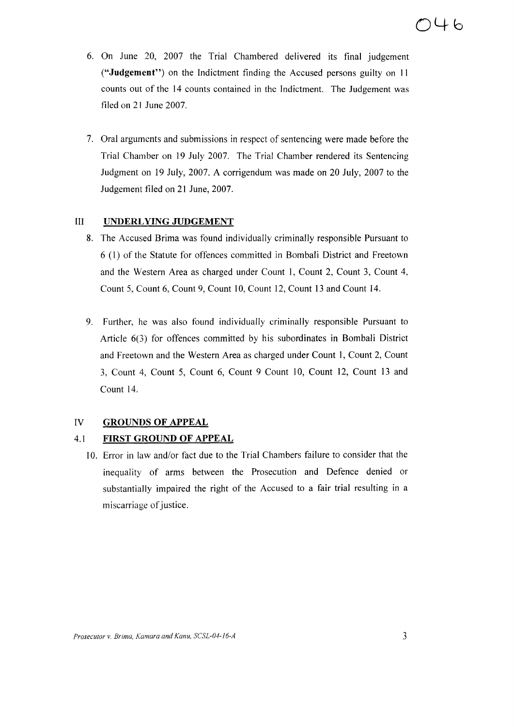- 6. On June 20, 2007 the Trial Chambered delivered its final judgement ("Judgement") on the Indictment finding the Accused persons guilty on II counts out of the 14 counts contained in the Indictment. The Judgement was filed on 21 June 2007.
- 7. Oral arguments and submissions in respect of sentencing were made before the Trial Chamber on 19 July 2007. The Trial Chamber rendered its Sentencing Judgment on 19 July, 2007. A corrigendum was made on 20 July, 2007 to the Judgement filed on 21 June, 2007.

#### III UNDERLYING JUDGEMENT

- 8. The Accused Brima was found individually criminally responsible Pursuant to 6 (1) of the Statute for offences committed in Bombali District and Freetown and the Western Area as charged under Count I, Count 2, Count 3, Count 4, Count 5, Count 6, Count 9, Count 10, Count 12, Count 13 and Count 14.
- 9. Further, he was also found individually criminally responsible Pursuant to Article 6(3) for offences committed by his subordinates in Bombali District and Freetown and the Western Area as charged under Count 1, Count 2, Count 3, Count 4, Count 5, Count 6, Count 9 Count 10, Count 12, Count 13 and Count 14.

#### IV GROUNDS OF APPEAL

#### 4.1 FIRST GROUND OF APPEAL

10. Error in law and/or fact due to the Trial Chambers failure to consider that the inequality of arms between the Prosecution and Defence denied or substantially impaired the right of the Accused to a fair trial resulting in a miscarriage of justice.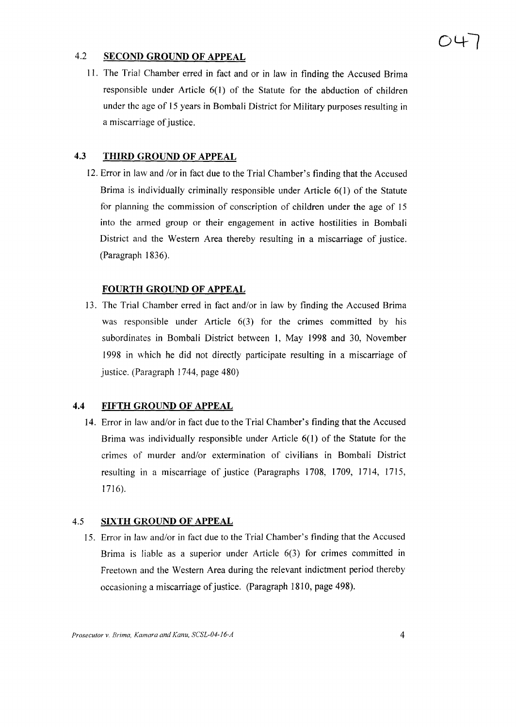#### 4.2 **SECOND GROUND OF APPEAL**

11. The Trial' Chamber erred in fact and or in law in finding the Accused Brima responsible under Article 6(1) of the Statute for the abduction of children under the age of 15 years in Bombali District for Military purposes resulting in a miscarriage of justice.

#### **4.3 THIRD GROUND OF APPEAL**

12. Error in law and /or in fact due to the Trial Chamber's finding that the Accused Brima is individually criminally responsible under Article 6(1) of the Statute for planning the commission of conscription of children under the age of 15 into the armed group or their engagement in active hostilities in Bombali District and the Western Area thereby resulting in a miscarriage of justice. (Paragraph 1836).

#### **FOURTH GROUND OF APPEAL**

13. The Trial Chamber erred in fact and/or in law by finding the Accused Brima was responsible under Article 6(3) for the crimes committed by his subordinates in Bombali District between 1, May 1998 and 30, November 1998 in which he did not directly participate resulting in a miscarriage of justice. (Paragraph 1744, page 480)

#### **4.4 FIFTH GROUND OF APPEAL**

14. Error in law and/or in fact due to the Trial Chamber's finding that the Accused Brima was individually responsible under Article 6(1) of the Statute for the crimes of murder and/or extermination of civilians in Bombali District resulting in a miscarriage of justice (Paragraphs 1708, 1709, 1714, 1715, 1716).

#### 4.5 **SIXTH GROUND OF APPEAL**

15. Error in law and/or in fact due to the Trial Chamber's finding that the Accused Brima is liable as a superior under Article 6(3) for crimes committed in Freetown and the Western Area during the relevant indictment period thereby occasioning a miscarriage of justice. (Paragraph 1810, page 498).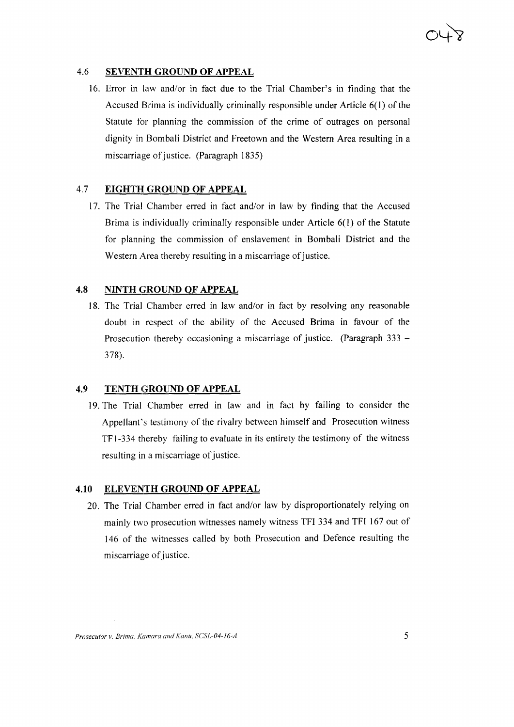#### 4.6 **SEVENTH GROUND OF APPEAL**

16. Error in law and/or in fact due to the Trial Chamber's in finding that the Accused Brima is individually criminally responsible under Article  $6(1)$  of the Statute for planning the commission of the crime of outrages on personal dignity in Bombali District and Freetown and the Western Area resulting in a miscarriage of justice. (Paragraph 1835)

#### 4.7 **EIGHTH GROUND OF APPEAL**

17. The Trial Chamber erred in fact and/or in law by finding that the Accused Brima is individually criminally responsible under Article 6(1) of the Statute for planning the commission of enslavement in Bombali District and the Western Area thereby resulting in a miscarriage of justice.

#### **4.8 NINTH GROUND OF APPEAL**

18. The Trial Chamber erred in law and/or in fact by resolving any reasonable doubt in respect of the ability of the Accused Brima in favour of the Prosecution thereby occasioning a miscarriage of justice. (Paragraph  $333 -$ 378).

#### **4.9 TENTH GROUND OF APPEAL**

19. The Trial Chamber erred in law and in fact by failing to consider the Appellant's testimony of the rivalry between himself and Prosecution witness TF 1-334 thereby failing to evaluate in its entirety the testimony of the witness resulting in a miscarriage of justice.

#### **4.10 ELEVENTH GROUND OF APPEAL**

20. The Trial Chamber erred in fact and/or law by disproportionately relying on mainly two prosecution witnesses namely witness TFI 334 and TFI 167 out of 146 of the witnesses called by both Prosecution and Defence resulting the miscarriage of justice.